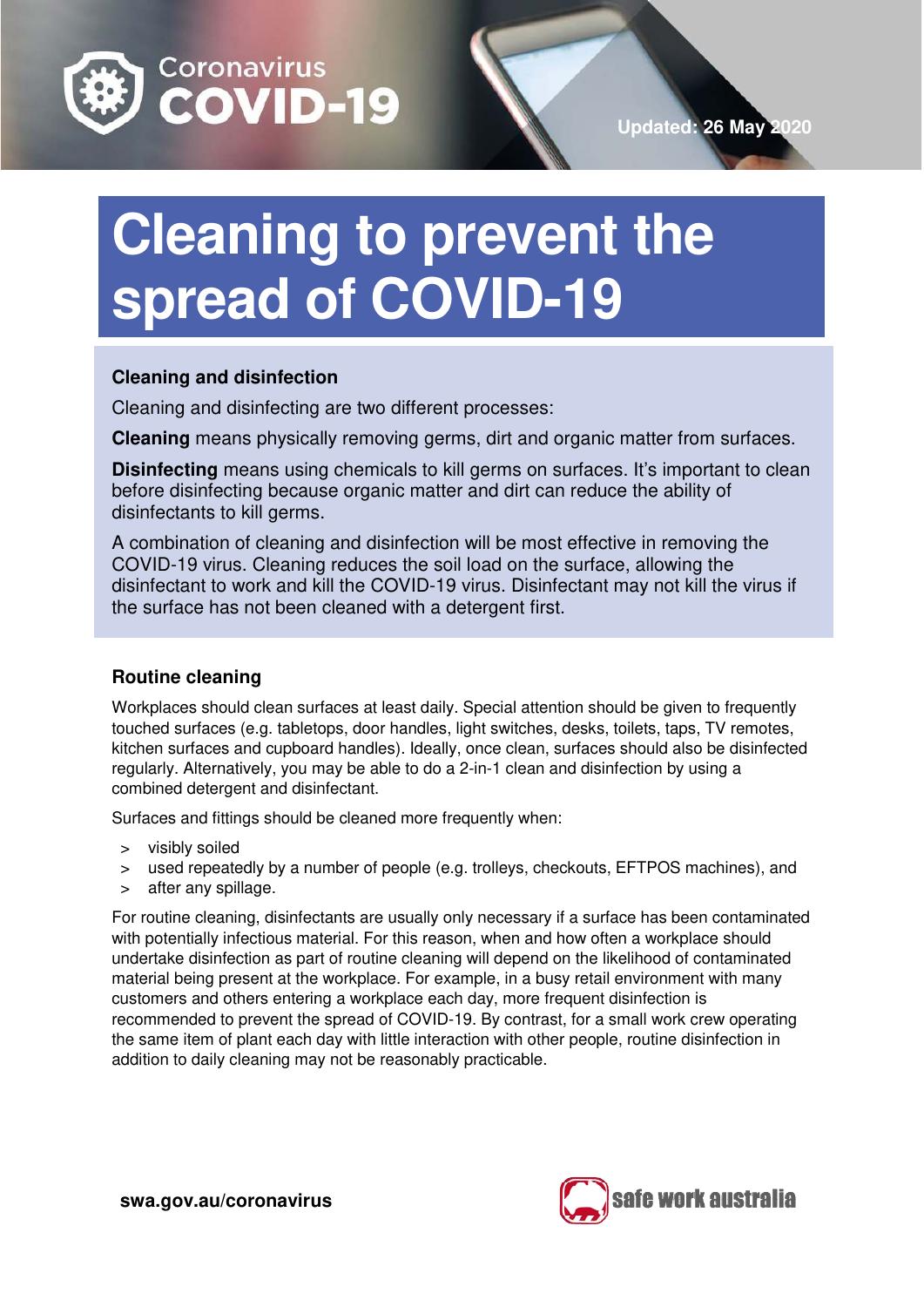

# **Cleaning to prevent the spread of COVID-19**

# **Cleaning and disinfection**

Cleaning and disinfecting are two different processes:

**Cleaning** means physically removing germs, dirt and organic matter from surfaces.

**Disinfecting** means using chemicals to kill germs on surfaces. It's important to clean before disinfecting because organic matter and dirt can reduce the ability of disinfectants to kill germs.

A combination of cleaning and disinfection will be most effective in removing the COVID-19 virus. Cleaning reduces the soil load on the surface, allowing the disinfectant to work and kill the COVID-19 virus. Disinfectant may not kill the virus if the surface has not been cleaned with a detergent first.

# **Routine cleaning**

Workplaces should clean surfaces at least daily. Special attention should be given to frequently touched surfaces (e.g. tabletops, door handles, light switches, desks, toilets, taps, TV remotes, kitchen surfaces and cupboard handles). Ideally, once clean, surfaces should also be disinfected regularly. Alternatively, you may be able to do a 2-in-1 clean and disinfection by using a combined detergent and disinfectant.

Surfaces and fittings should be cleaned more frequently when:

- > visibly soiled
- > used repeatedly by a number of people (e.g. trolleys, checkouts, EFTPOS machines), and
- after any spillage.

For routine cleaning, disinfectants are usually only necessary if a surface has been contaminated with potentially infectious material. For this reason, when and how often a workplace should undertake disinfection as part of routine cleaning will depend on the likelihood of contaminated material being present at the workplace. For example, in a busy retail environment with many customers and others entering a workplace each day, more frequent disinfection is recommended to prevent the spread of COVID-19. By contrast, for a small work crew operating the same item of plant each day with little interaction with other people, routine disinfection in addition to daily cleaning may not be reasonably practicable.

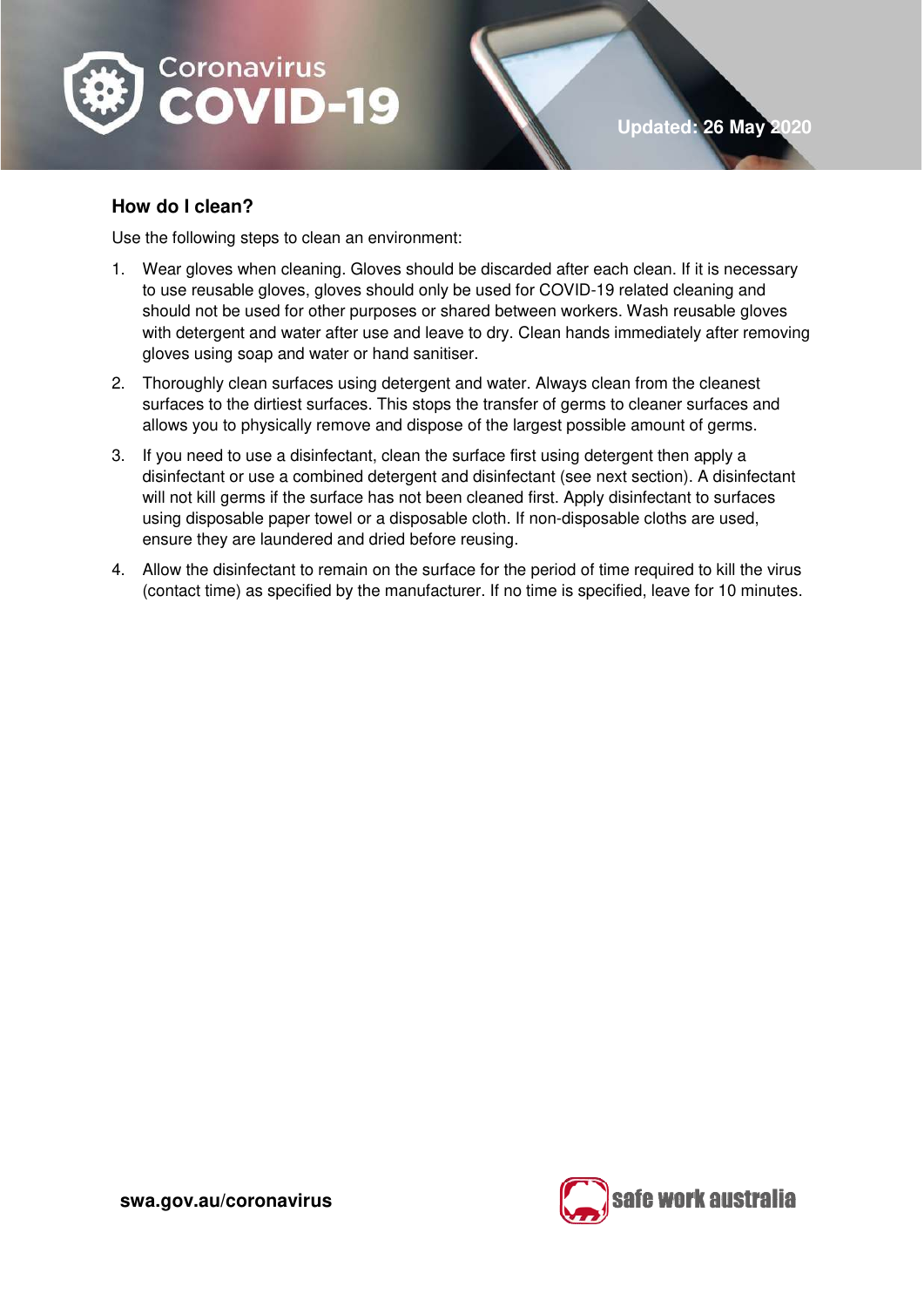

# **How do I clean?**

Use the following steps to clean an environment:

- 1. Wear gloves when cleaning. Gloves should be discarded after each clean. If it is necessary to use reusable gloves, gloves should only be used for COVID-19 related cleaning and should not be used for other purposes or shared between workers. Wash reusable gloves with detergent and water after use and leave to dry. Clean hands immediately after removing gloves using soap and water or hand sanitiser.
- 2. Thoroughly clean surfaces using detergent and water. Always clean from the cleanest surfaces to the dirtiest surfaces. This stops the transfer of germs to cleaner surfaces and allows you to physically remove and dispose of the largest possible amount of germs.
- 3. If you need to use a disinfectant, clean the surface first using detergent then apply a disinfectant or use a combined detergent and disinfectant (see next section). A disinfectant will not kill germs if the surface has not been cleaned first. Apply disinfectant to surfaces using disposable paper towel or a disposable cloth. If non-disposable cloths are used, ensure they are laundered and dried before reusing.
- 4. Allow the disinfectant to remain on the surface for the period of time required to kill the virus (contact time) as specified by the manufacturer. If no time is specified, leave for 10 minutes.

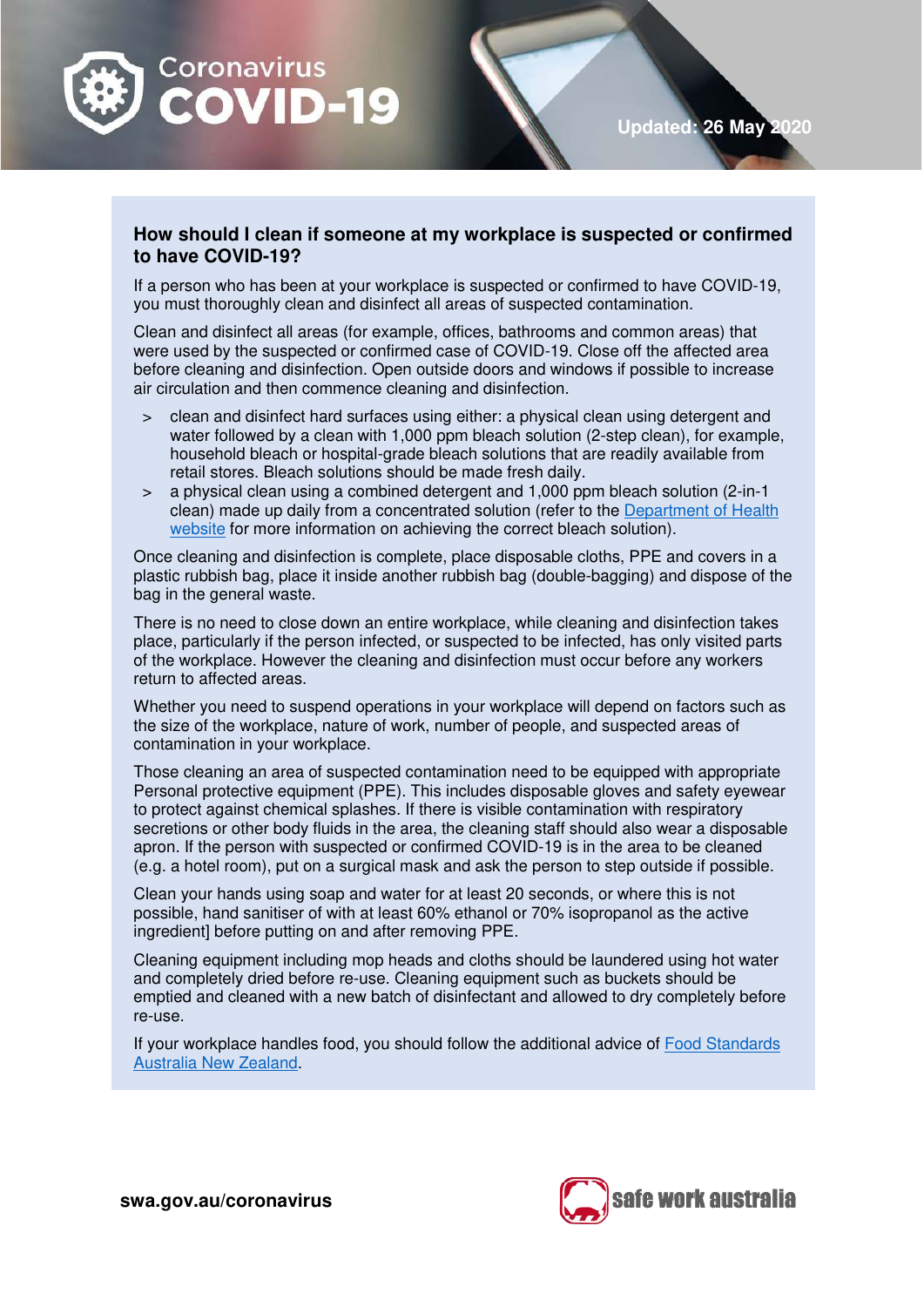

**Updated: 26 May** 

## **How should I clean if someone at my workplace is suspected or confirmed to have COVID-19?**

If a person who has been at your workplace is suspected or confirmed to have COVID-19, you must thoroughly clean and disinfect all areas of suspected contamination.

Clean and disinfect all areas (for example, offices, bathrooms and common areas) that were used by the suspected or confirmed case of COVID-19. Close off the affected area before cleaning and disinfection. Open outside doors and windows if possible to increase air circulation and then commence cleaning and disinfection.

- > clean and disinfect hard surfaces using either: a physical clean using detergent and water followed by a clean with 1,000 ppm bleach solution (2-step clean), for example, household bleach or hospital-grade bleach solutions that are readily available from retail stores. Bleach solutions should be made fresh daily.
- > a physical clean using a combined detergent and 1,000 ppm bleach solution (2-in-1 clean) made up daily from a concentrated solution (refer to the [Department of Health](https://www.health.gov.au/sites/default/files/documents/2020/03/environmental-cleaning-and-disinfection-principles-for-covid-19.pdf)  [website](https://www.health.gov.au/sites/default/files/documents/2020/03/environmental-cleaning-and-disinfection-principles-for-covid-19.pdf) for more information on achieving the correct bleach solution).

Once cleaning and disinfection is complete, place disposable cloths, PPE and covers in a plastic rubbish bag, place it inside another rubbish bag (double-bagging) and dispose of the bag in the general waste.

There is no need to close down an entire workplace, while cleaning and disinfection takes place, particularly if the person infected, or suspected to be infected, has only visited parts of the workplace. However the cleaning and disinfection must occur before any workers return to affected areas.

Whether you need to suspend operations in your workplace will depend on factors such as the size of the workplace, nature of work, number of people, and suspected areas of contamination in your workplace.

Those cleaning an area of suspected contamination need to be equipped with appropriate Personal protective equipment (PPE). This includes disposable gloves and safety eyewear to protect against chemical splashes. If there is visible contamination with respiratory secretions or other body fluids in the area, the cleaning staff should also wear a disposable apron. If the person with suspected or confirmed COVID-19 is in the area to be cleaned (e.g. a hotel room), put on a surgical mask and ask the person to step outside if possible.

Clean your hands using soap and water for at least 20 seconds, or where this is not possible, hand sanitiser of with at least 60% ethanol or 70% isopropanol as the active ingredient) before putting on and after removing PPE.

Cleaning equipment including mop heads and cloths should be laundered using hot water and completely dried before re-use. Cleaning equipment such as buckets should be emptied and cleaned with a new batch of disinfectant and allowed to dry completely before re-use.

If your workplace handles food, you should follow the additional advice of [Food Standards](https://www.foodstandards.gov.au/consumer/safety/Pages/NOVEL-CORONAVIRUS-AND-FOOD-SAFETY.aspx)  [Australia New Zealand.](https://www.foodstandards.gov.au/consumer/safety/Pages/NOVEL-CORONAVIRUS-AND-FOOD-SAFETY.aspx)



**swa.gov.au/coronavirus**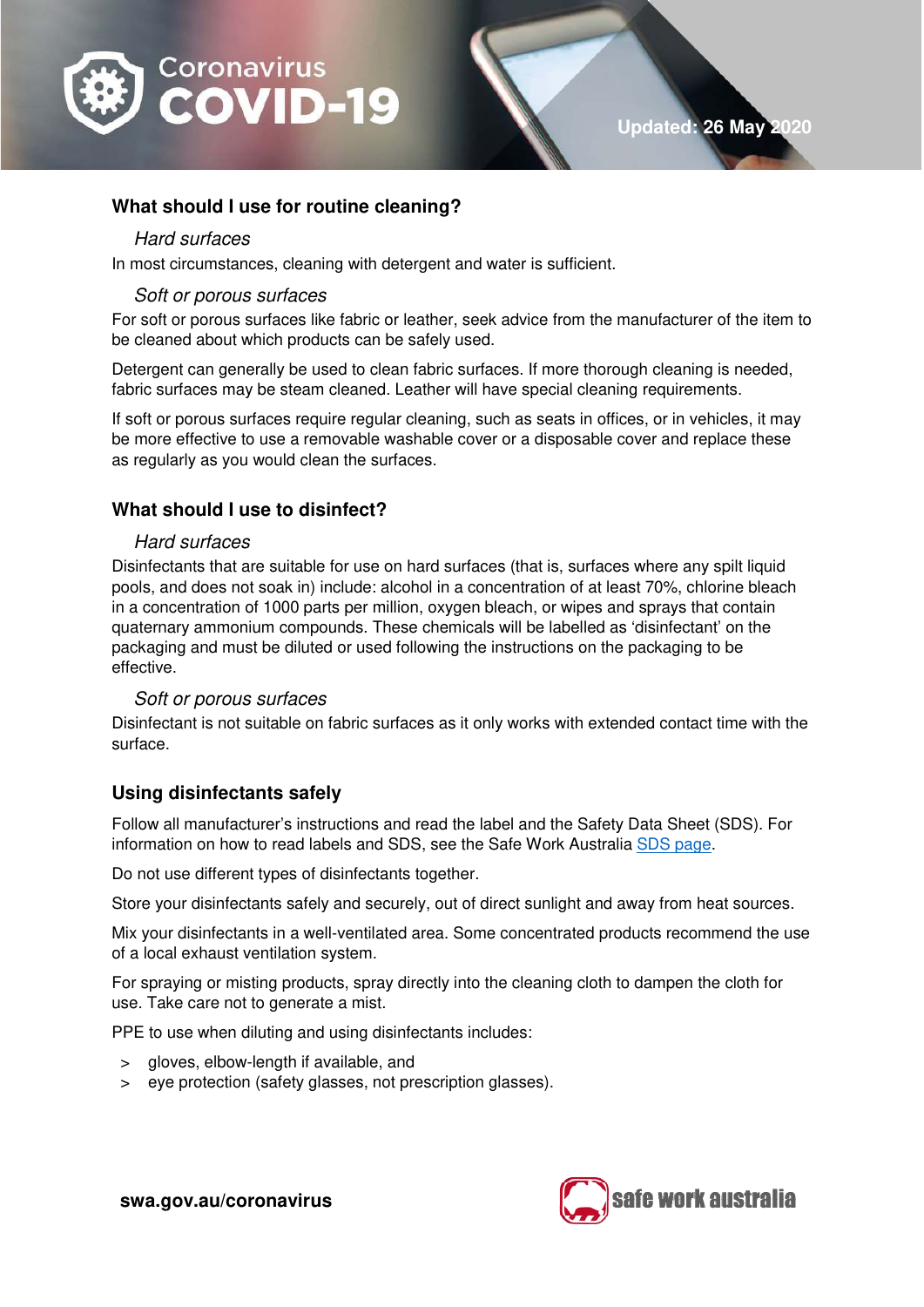

## **What should I use for routine cleaning?**

#### Hard surfaces

In most circumstances, cleaning with detergent and water is sufficient.

#### Soft or porous surfaces

For soft or porous surfaces like fabric or leather, seek advice from the manufacturer of the item to be cleaned about which products can be safely used.

Detergent can generally be used to clean fabric surfaces. If more thorough cleaning is needed, fabric surfaces may be steam cleaned. Leather will have special cleaning requirements.

If soft or porous surfaces require regular cleaning, such as seats in offices, or in vehicles, it may be more effective to use a removable washable cover or a disposable cover and replace these as regularly as you would clean the surfaces.

## **What should I use to disinfect?**

#### Hard surfaces

Disinfectants that are suitable for use on hard surfaces (that is, surfaces where any spilt liquid pools, and does not soak in) include: alcohol in a concentration of at least 70%, chlorine bleach in a concentration of 1000 parts per million, oxygen bleach, or wipes and sprays that contain quaternary ammonium compounds. These chemicals will be labelled as 'disinfectant' on the packaging and must be diluted or used following the instructions on the packaging to be effective.

### Soft or porous surfaces

Disinfectant is not suitable on fabric surfaces as it only works with extended contact time with the surface.

## **Using disinfectants safely**

Follow all manufacturer's instructions and read the label and the Safety Data Sheet (SDS). For information on how to read labels and SDS, see the Safe Work Australia [SDS page.](https://www.safeworkaustralia.gov.au/sds)

Do not use different types of disinfectants together.

Store your disinfectants safely and securely, out of direct sunlight and away from heat sources.

Mix your disinfectants in a well-ventilated area. Some concentrated products recommend the use of a local exhaust ventilation system.

For spraying or misting products, spray directly into the cleaning cloth to dampen the cloth for use. Take care not to generate a mist.

PPE to use when diluting and using disinfectants includes:

- > gloves, elbow-length if available, and
- > eye protection (safety glasses, not prescription glasses).



**swa.gov.au/coronavirus**